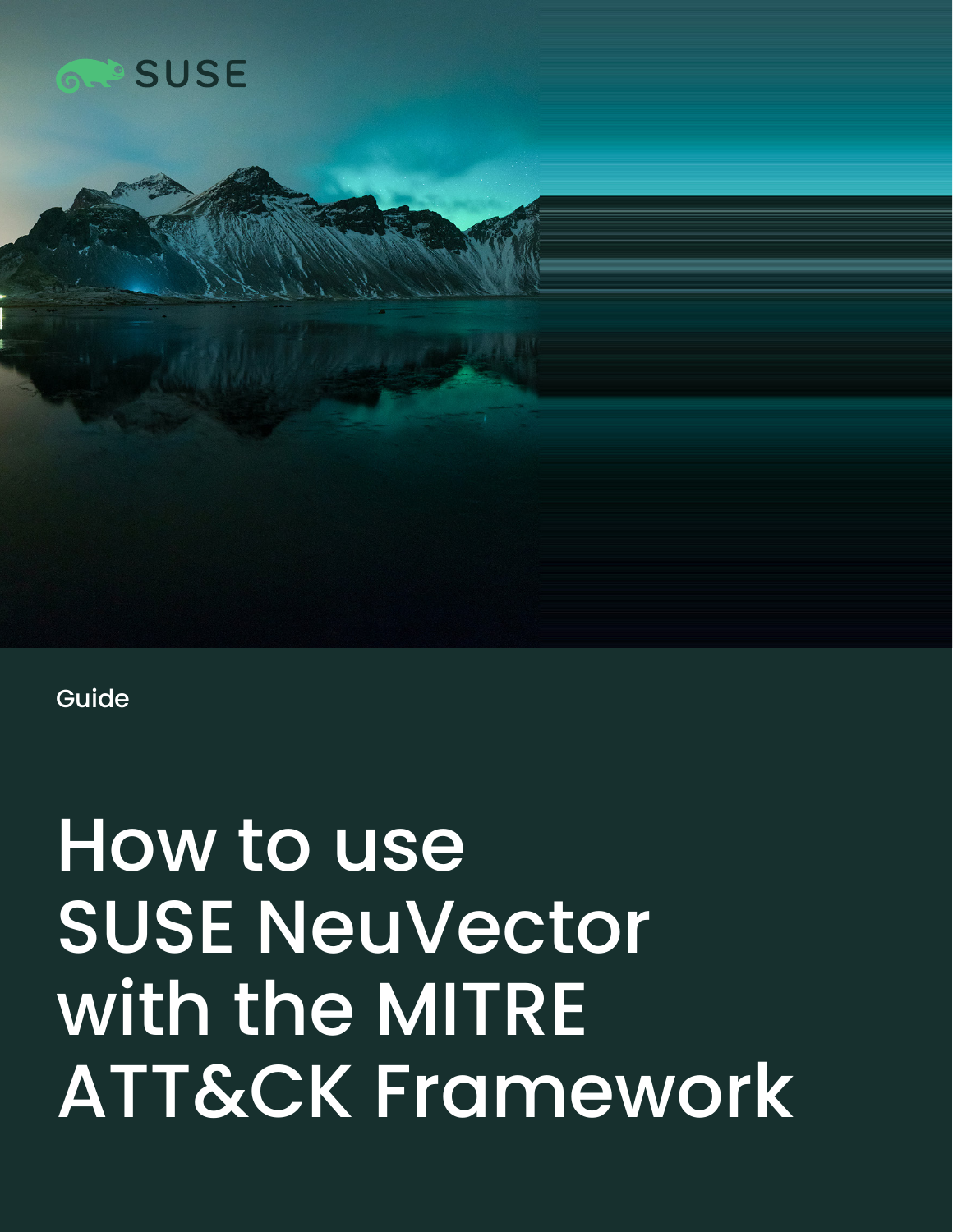



Guide

# How to use SUSE NeuVector with the MITRE ATT&CK Framework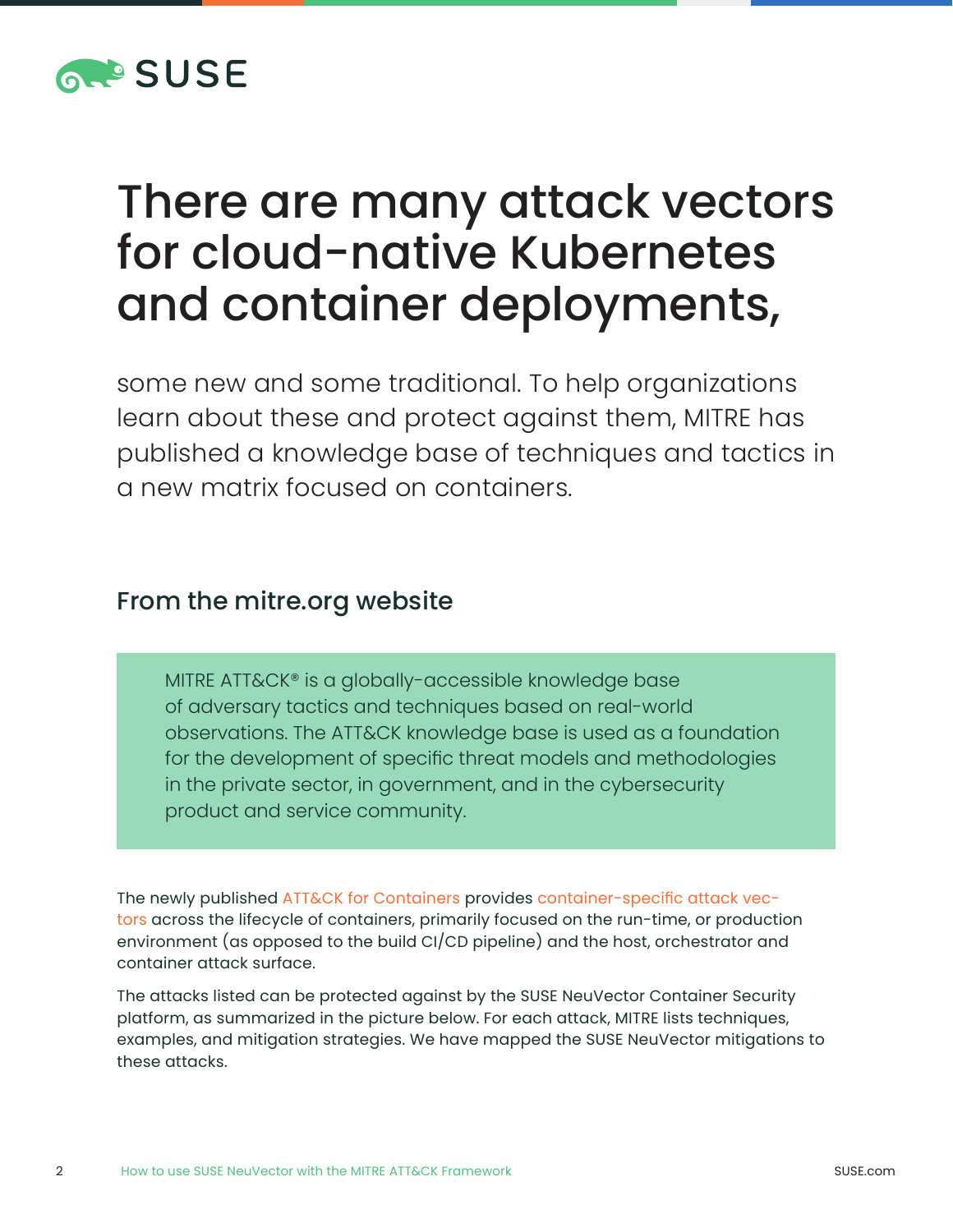

# There are many attack vectors for cloud-native Kubernetes and container deployments,

some new and some traditional. To help organizations learn about these and protect against them, MITRE has published a knowledge base of techniques and tactics in a new matrix focused on containers.

#### From the mitre.org website

MITRE ATT&CK® is a globally-accessible knowledge base of adversary tactics and techniques based on real-world observations. The ATT&CK knowledge base is used as a foundation for the development of specific threat models and methodologies in the private sector, in government, and in the cybersecurity product and service community.

The newly published [ATT&CK for Containers](https://medium.com/mitre-engenuity/att-ck-for-containers-now-available-4c2359654bf1) provides [container-](https://attack.mitre.org/matrices/enterprise/containers/)[specific attack vec](https://attack.mitre.org/matrices/enterprise/containers/)[tors](https://attack.mitre.org/matrices/enterprise/containers/) across the lifecycle of containers, primarily focused on the run-time, or production environment (as opposed to the build CI/CD pipeline) and the host, orchestrator and container attack surface.

The attacks listed can be protected against by the SUSE NeuVector Container Security platform, as summarized in the picture below. For each attack, MITRE lists techniques, examples, and mitigation strategies. We have mapped the SUSE NeuVector mitigations to these attacks.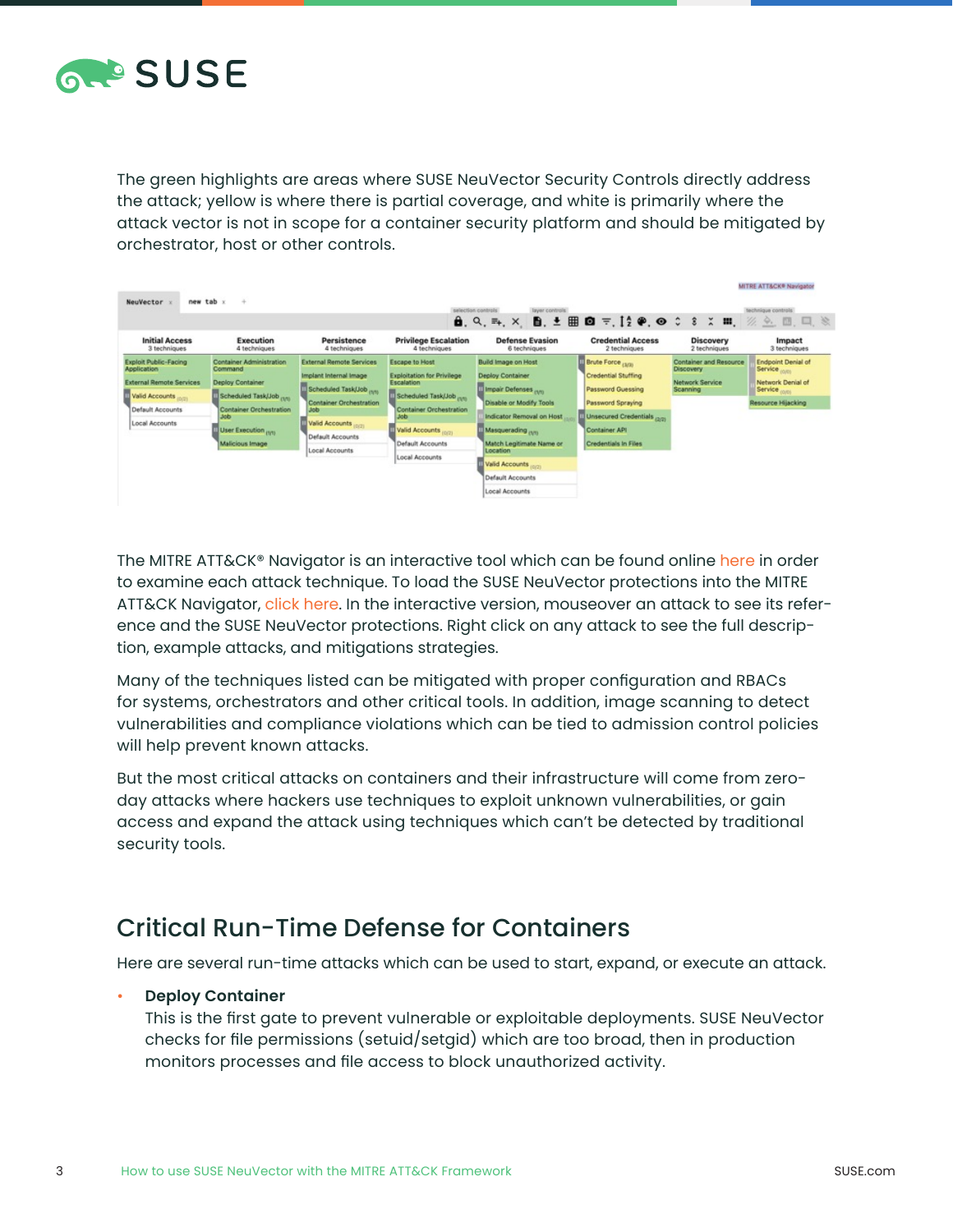

The green highlights are areas where SUSE NeuVector Security Controls directly address the attack; yellow is where there is partial coverage, and white is primarily where the attack vector is not in scope for a container security platform and should be mitigated by orchestrator, host or other controls.

| new tab x<br>NeuVector                                                                                                                        | $\rightarrow$                                                                                                                                                         |                                                                                                                                                                                               |                                                                                                                                                                                                    | selection controls<br>layer controls<br>$\mathbf{\hat{a}}$ , Q, E, X, $\mathbf{\hat{B}}$ , $\pm$ H $\mathbf{\hat{O}}$ $\mp$ , $\mathbf{I}_2^{\mathsf{c}}$ $\phi$ , $\mathbf{\hat{O}}$ $\hat{\mathsf{c}}$ & $\mathbf{x}$ $\mathbf{m}$ , $\mathcal{U}_2$ $\mathbf{\hat{O}}$ , $\mathbf{m}$ , $\mathbf{m}$ , $\mathbf{m}$ , $\mathbf{m}$ , $\mathbf{m}$ |                                                                                                                                                                 |                                                                    | MITRE ATT&CK® Navigator<br>technique controls                                                                 |
|-----------------------------------------------------------------------------------------------------------------------------------------------|-----------------------------------------------------------------------------------------------------------------------------------------------------------------------|-----------------------------------------------------------------------------------------------------------------------------------------------------------------------------------------------|----------------------------------------------------------------------------------------------------------------------------------------------------------------------------------------------------|------------------------------------------------------------------------------------------------------------------------------------------------------------------------------------------------------------------------------------------------------------------------------------------------------------------------------------------------------|-----------------------------------------------------------------------------------------------------------------------------------------------------------------|--------------------------------------------------------------------|---------------------------------------------------------------------------------------------------------------|
| <b>Initial Access</b><br>3 techniques                                                                                                         | Execution<br>4 techniques                                                                                                                                             | Persistence<br>4 techniques                                                                                                                                                                   | <b>Privilege Escalation</b><br>4 techniques                                                                                                                                                        | <b>Defense Evasion</b><br>6 techniques                                                                                                                                                                                                                                                                                                               | <b>Credential Access</b><br>2 techniques                                                                                                                        | <b>Discovery</b><br>2 techniques                                   | Impact<br>3 techniques                                                                                        |
| <b>Exploit Public-Facing</b><br><b>Application</b><br><b>External Remote Services</b><br>Valid Accounts<br>Default Accounts<br>Local Accounts | Container Administration<br>Command<br>Deploy Container<br>Scheduled Task/Job (1915)<br>Container Orchestration<br><b>Job</b><br>User Execution nm<br>Malicious Image | <b>External Remote Services</b><br>Implant Internal Image<br>Scheduled Task(Job (1916)<br><b>Container Orchestration</b><br>Job<br>Valid Accounts (0/2)<br>Default Accounts<br>Local Accounts | Escape to Host<br><b>Exploitation for Privilege</b><br>Escalation<br>Scheduled Task(Job (M)<br>Container Orchestration<br><b>Job</b><br>Valid Accounts (6/2)<br>Default Accounts<br>Local Accounts | <b>Build Image on Host</b><br>Deploy Container<br>Ill Impair Defenses <sub>(M)</sub><br>Disable or Modify Tools<br>Indicator Removal on Host<br>Masquerading run<br>Match Legitimate Name or<br>Location<br>Valid Accounts<br>Default Accounts<br>Local Accounts                                                                                     | <b>Brute Force (am)</b><br>Credential Stuffing<br>Password Guessing<br>Password Spraying<br>Unsecured Credentials port<br>Container API<br>Credentials In Files | Container and Resource<br>Discovery<br>Network Service<br>Scanning | <b>Endpoint Denial of</b><br>Service<br>Network Denial of<br>Service <sub>(0/01</sub> )<br>Resource Hijacking |

The MITRE ATT&CK® Navigator is an interactive tool which can be found online [here](https://mitre-attack.github.io/attack-navigator/) in order to examine each attack technique. To load the SUSE NeuVector protections into the MITRE ATT&CK Navigator, [click here.](https://raw.githubusercontent.com/neuvector/manifests/main/mitre/container.json) In the interactive version, mouseover an attack to see its reference and the SUSE NeuVector protections. Right click on any attack to see the full description, example attacks, and mitigations strategies.

Many of the techniques listed can be mitigated with proper configuration and RBACs for systems, orchestrators and other critical tools. In addition, image scanning to detect vulnerabilities and compliance violations which can be tied to admission control policies will help prevent known attacks.

But the most critical attacks on containers and their infrastructure will come from zeroday attacks where hackers use techniques to exploit unknown vulnerabilities, or gain access and expand the attack using techniques which can't be detected by traditional security tools.

#### Critical Run-Time Defense for Containers

Here are several run-time attacks which can be used to start, expand, or execute an attack.

#### • **Deploy Container**

This is the first gate to prevent vulnerable or exploitable deployments. SUSE NeuVector checks for file permissions (setuid/setgid) which are too broad, then in production monitors processes and file access to block unauthorized activity.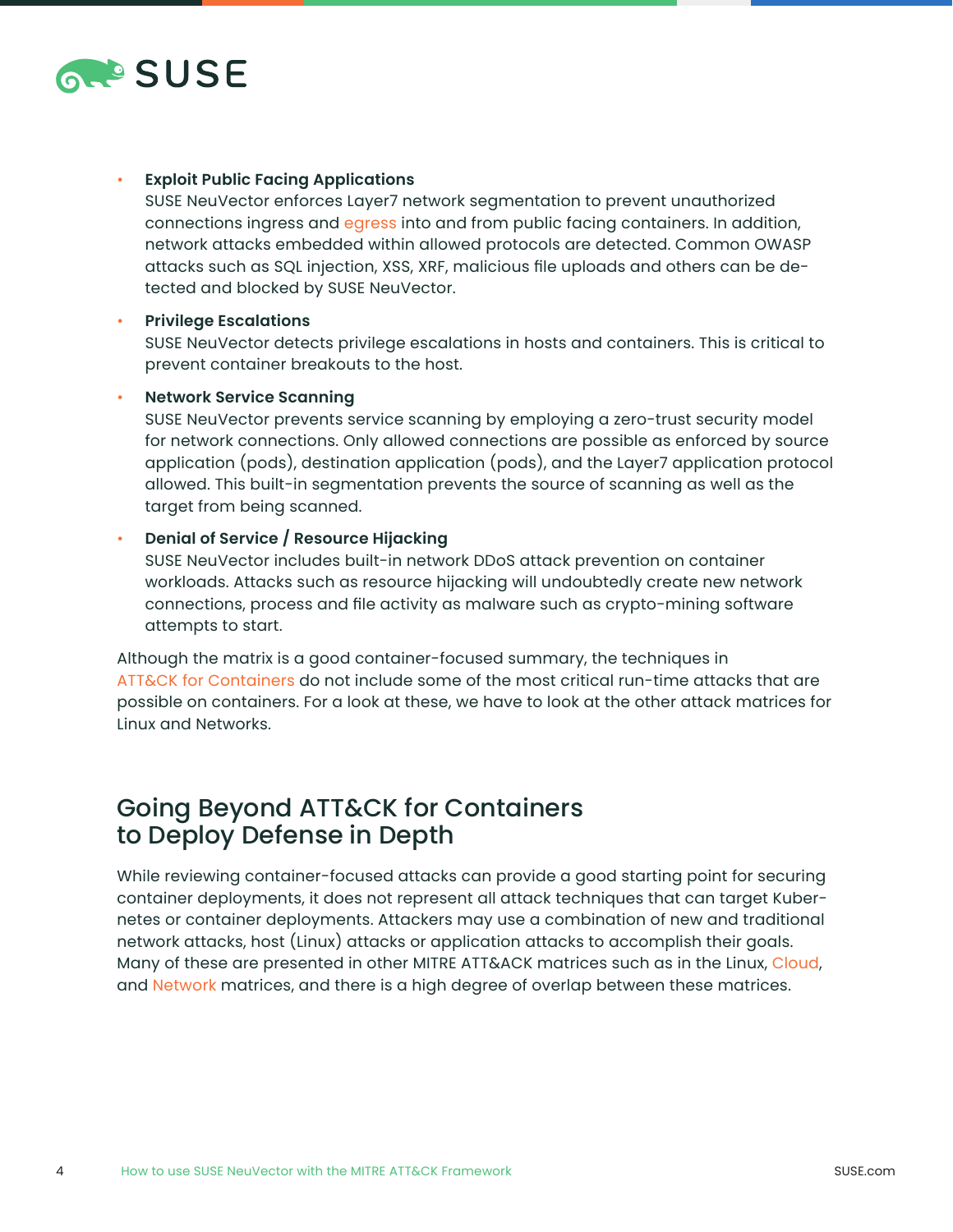

#### • **Exploit Public Facing Applications**

SUSE NeuVector enforces Layer7 network segmentation to prevent unauthorized connections ingress and [egress](https://blog.neuvector.com/article/enforce-egress-control-containers) into and from public facing containers. In addition, network attacks embedded within allowed protocols are detected. Common OWASP attacks such as SQL injection, XSS, XRF, malicious file uploads and others can be detected and blocked by SUSE NeuVector.

#### • **Privilege Escalations**

SUSE NeuVector detects privilege escalations in hosts and containers. This is critical to prevent container breakouts to the host.

#### • **Network Service Scanning**

SUSE NeuVector prevents service scanning by employing a zero-trust security model for network connections. Only allowed connections are possible as enforced by source application (pods), destination application (pods), and the Layer7 application protocol allowed. This built-in segmentation prevents the source of scanning as well as the target from being scanned.

#### • **Denial of Service / Resource Hijacking**

SUSE NeuVector includes built-in network DDoS attack prevention on container workloads. Attacks such as resource hijacking will undoubtedly create new network connections, process and file activity as malware such as crypto-mining software attempts to start.

Although the matrix is a good container-focused summary, the techniques in [ATT&CK for Containers](https://medium.com/mitre-engenuity/att-ck-for-containers-now-available-4c2359654bf1) do not include some of the most critical run-time attacks that are possible on containers. For a look at these, we have to look at the other attack matrices for Linux and Networks.

#### Going Beyond [ATT&CK for Containers](https://medium.com/mitre-engenuity/att-ck-for-containers-now-available-4c2359654bf1) to Deploy Defense in Depth

While reviewing container-focused attacks can provide a good starting point for securing container deployments, it does not represent all attack techniques that can target Kubernetes or container deployments. Attackers may use a combination of new and traditional network attacks, host (Linux) attacks or application attacks to accomplish their goals. Many of these are presented in other MITRE ATT&ACK matrices such as in the [Linux](https://attack.mitre.org/matrices/enterprise/linux/), [Cloud](https://attack.mitre.org/matrices/enterprise/cloud/), and [Network](https://attack.mitre.org/matrices/enterprise/network/) matrices, and there is a high degree of overlap between these matrices.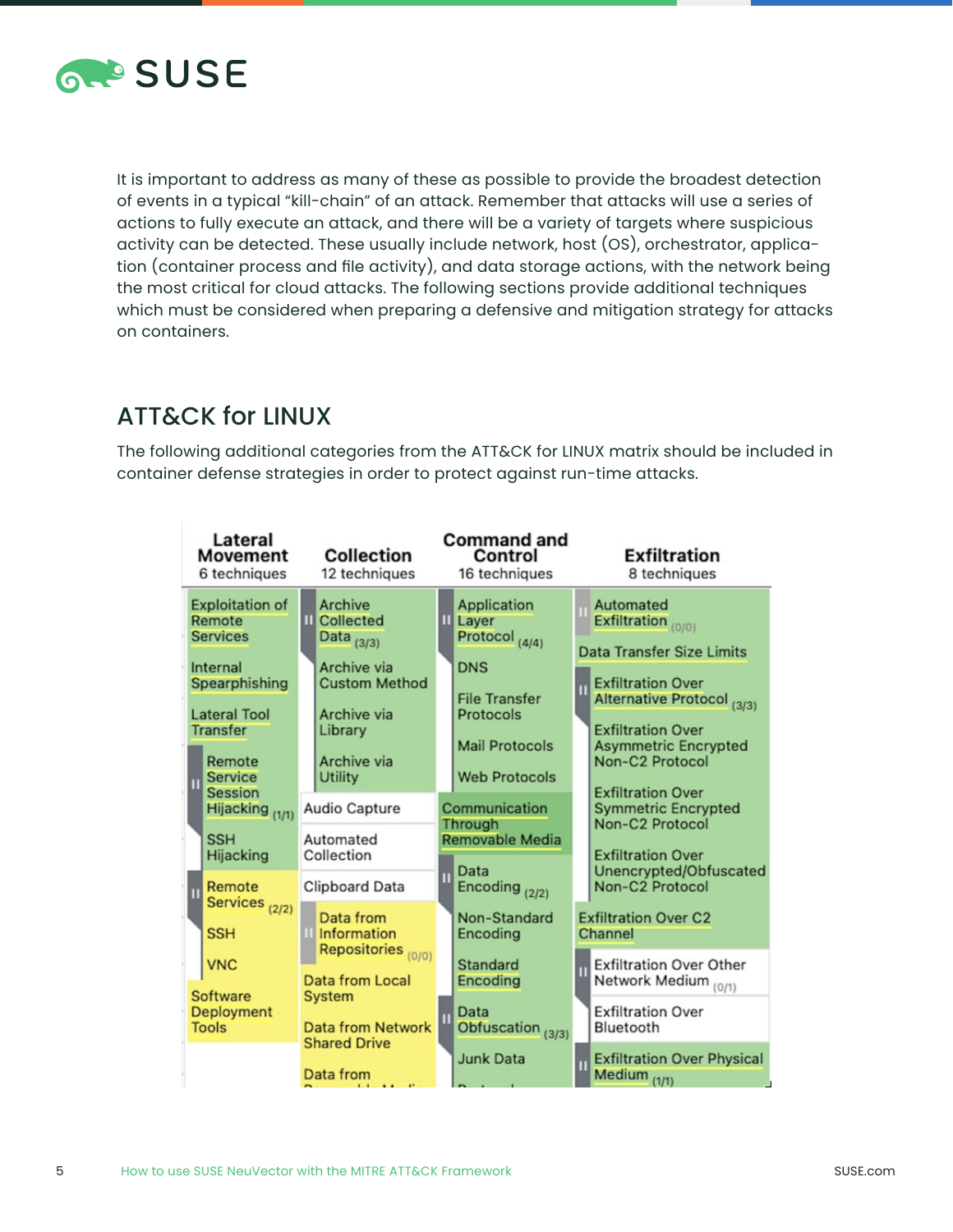

It is important to address as many of these as possible to provide the broadest detection of events in a typical "kill-chain" of an attack. Remember that attacks will use a series of actions to fully execute an attack, and there will be a variety of targets where suspicious activity can be detected. These usually include network, host (OS), orchestrator, application (container process and file activity), and data storage actions, with the network being the most critical for cloud attacks. The following sections provide additional techniques which must be considered when preparing a defensive and mitigation strategy for attacks on containers.

## ATT&CK for LINUX

The following additional categories from the ATT&CK for LINUX matrix should be included in container defense strategies in order to protect against run-time attacks.

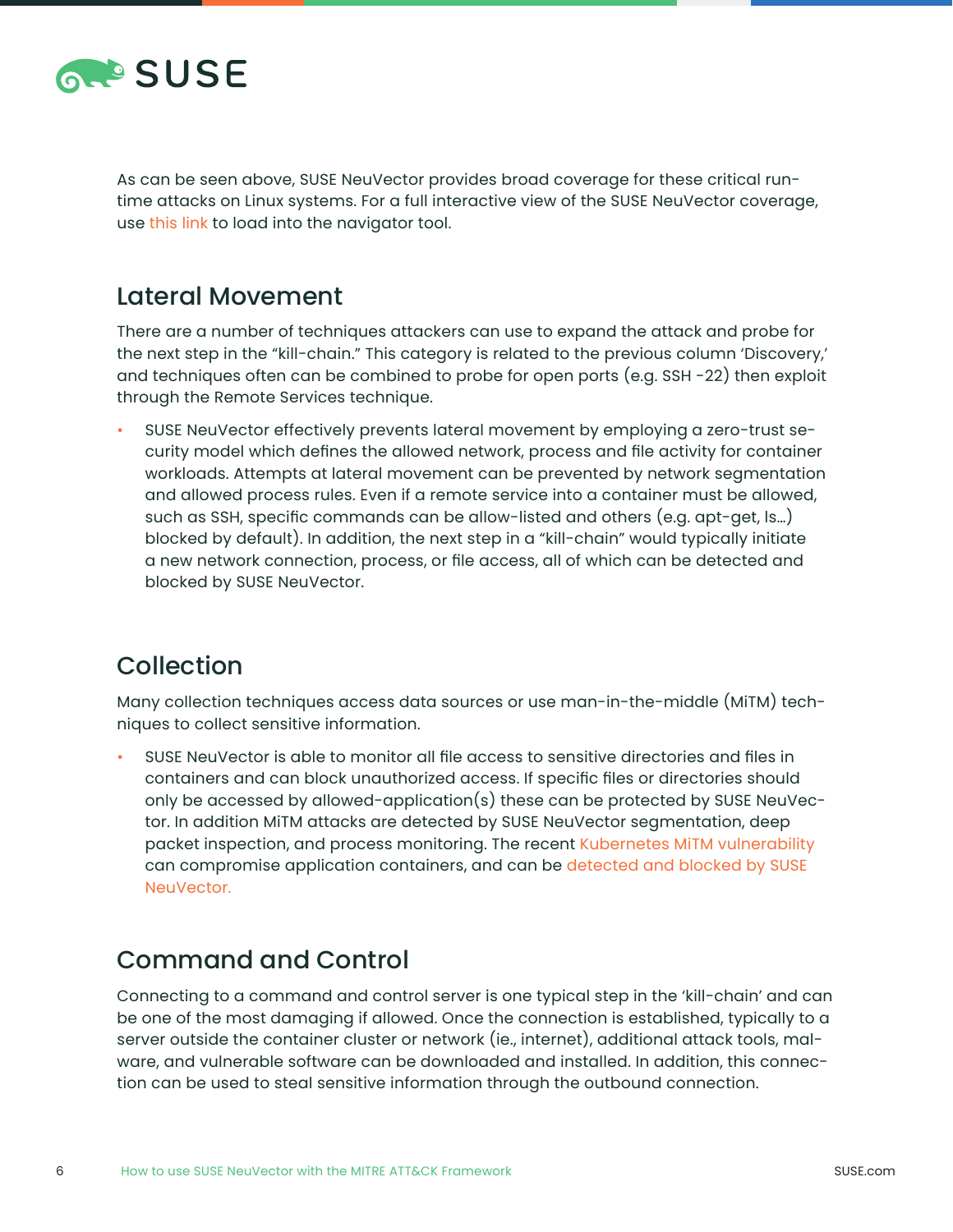

As can be seen above, SUSE NeuVector provides broad coverage for these critical runtime attacks on Linux systems. For a full interactive view of the SUSE NeuVector coverage, use [this link](https://raw.githubusercontent.com/neuvector/manifests/main/mitre/linux.json) to load into the navigator tool.

#### Lateral Movement

There are a number of techniques attackers can use to expand the attack and probe for the next step in the "kill-chain." This category is related to the previous column 'Discovery,' and techniques often can be combined to probe for open ports (e.g. SSH -22) then exploit through the Remote Services technique.

• SUSE NeuVector effectively prevents lateral movement by employing a zero-trust security model which defines the allowed network, process and file activity for container workloads. Attempts at lateral movement can be prevented by network segmentation and allowed process rules. Even if a remote service into a container must be allowed, such as SSH, specific commands can be allow-listed and others (e.g. apt-get, ls…) blocked by default). In addition, the next step in a "kill-chain" would typically initiate a new network connection, process, or file access, all of which can be detected and blocked by SUSE NeuVector.

#### Collection

Many collection techniques access data sources or use man-in-the-middle (MiTM) techniques to collect sensitive information.

• SUSE NeuVector is able to monitor all file access to sensitive directories and files in containers and can block unauthorized access. If specific files or directories should only be accessed by allowed-application(s) these can be protected by SUSE NeuVector. In addition MiTM attacks are detected by SUSE NeuVector segmentation, deep packet inspection, and process monitoring. The recent [Kubernetes MiTM vulnerability](https://blog.neuvector.com/article/kubernetes-man-in-the-middle-with-no-patch-in-sight.-what-does-cve-2020-8554-mean-to-your-organization) can compromise application containers, and can be [detected and blocked by SUSE](https://blog.neuvector.com/article/kubernetes-man-in-the-middle-with-no-patch-in-sight.-what-does-cve-2020-8554-mean-to-your-organization)  [NeuVe](https://blog.neuvector.com/article/kubernetes-man-in-the-middle-with-no-patch-in-sight.-what-does-cve-2020-8554-mean-to-your-organization)ctor.

#### Command and Control

Connecting to a command and control server is one typical step in the 'kill-chain' and can be one of the most damaging if allowed. Once the connection is established, typically to a server outside the container cluster or network (ie., internet), additional attack tools, malware, and vulnerable software can be downloaded and installed. In addition, this connection can be used to steal sensitive information through the outbound connection.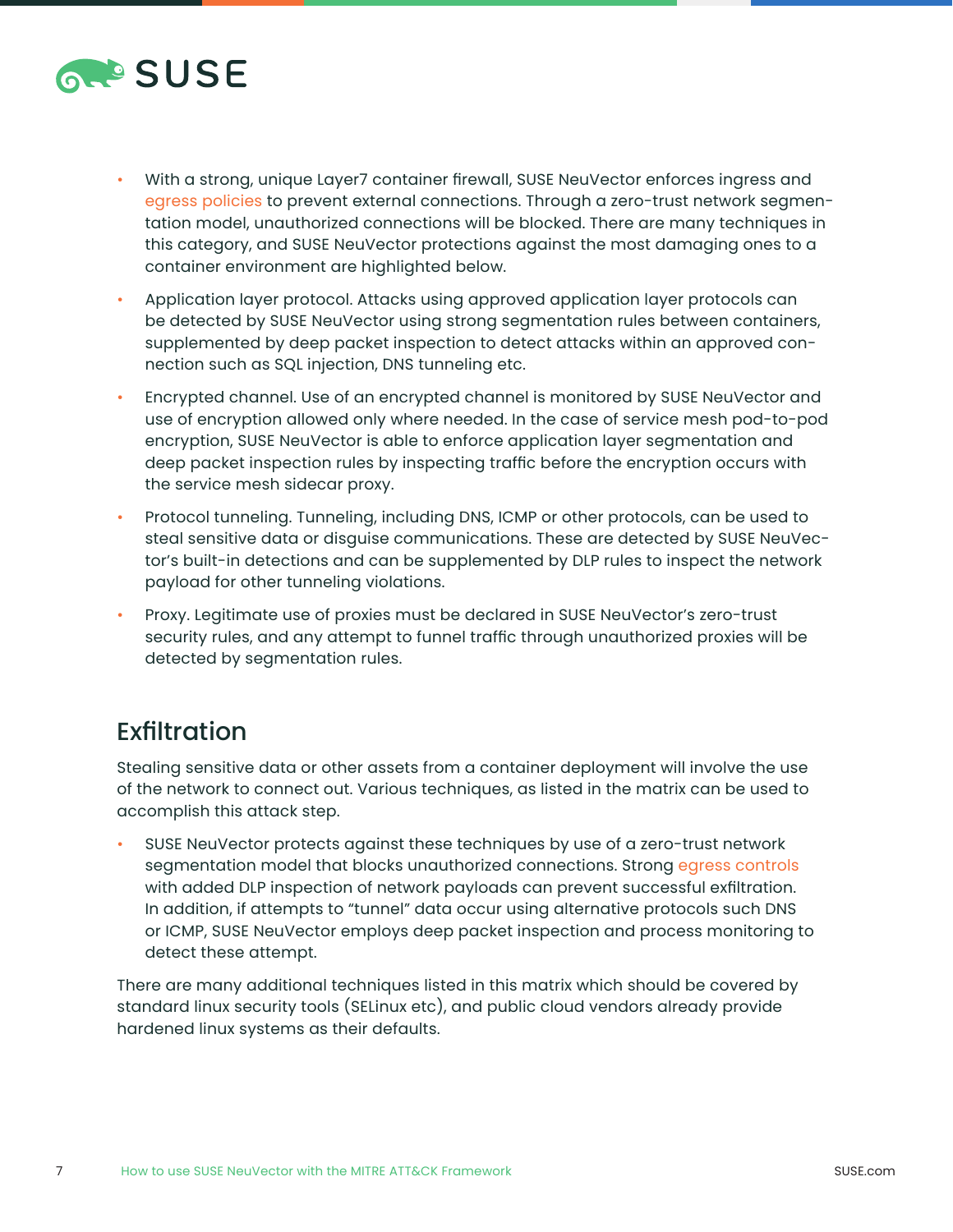

- With a strong, unique Layer7 container firewall, SUSE NeuVector enforces ingress and [egress policies](https://blog.neuvector.com/article/enforce-egress-control-containers) to prevent external connections. Through a zero-trust network segmentation model, unauthorized connections will be blocked. There are many techniques in this category, and SUSE NeuVector protections against the most damaging ones to a container environment are highlighted below[.](http://neuvector.com.)
- [Application layer protocol. Attacks using approved application layer protocols can](http://neuvector.com.)  [be detected by SUSE NeuVector using strong segmentation rules between containers,](http://neuvector.com.)  [supplemented by deep packet inspection to detect attacks within an approved con](http://neuvector.com.)[nection such as SQL injection, DNS tunneling etc.](http://neuvector.com.)
- [Encrypted channel. Use of an encrypted channel is monitored by SUSE NeuVector and](http://neuvector.com.)  [use of encryption allowed only where needed. In the case of service mesh pod-to-pod](http://neuvector.com.)  [encryption, SUSE NeuVector is able to enforce application layer segmentation and](http://neuvector.com.)  [deep packet inspection rules by inspecting traffic before the encryption occurs with](http://neuvector.com.)  [the service mesh sidecar proxy.](http://neuvector.com.)
- [Protocol tunneling. Tunneling, including DNS, ICMP or other protocols, can be used to](http://neuvector.com.)  [steal sensitive data or disguise communications. These are detected by SUSE NeuVec](http://neuvector.com.)[tor's built-in detections and can be supplemented by DLP rules to inspect the network](http://neuvector.com.)  [payload for other tunneling violations.](http://neuvector.com.)
- [Proxy. Legitimate use of proxies must be declared in SUSE NeuVector's zero-trust](http://neuvector.com.)  [security rules, and any attempt to funnel traffic through unauthorized proxies will be](http://neuvector.com.)  [detected by segmentation rules.](http://neuvector.com.)

### [Exfiltration](http://neuvector.com.)

[Stealing sensitive data or other assets from a container deployment will involve the use](http://neuvector.com.)  [of the network to connect out. Various techniques, as listed in the matrix can be used to](http://neuvector.com.)  [accomplish this attack step.](http://neuvector.com.)

• [SUSE NeuVector protects against these techniques by use of a zero-trust network](http://neuvector.com.)  [segmentation model that blocks unauthorized connections. Strong](http://neuvector.com.) egress controls [with added DLP inspection of network payloads can prevent successful exfiltration.](http://neuvector.com.)  [In addition, if attempts to "tunnel" data occur using alternative protocols such DNS](http://neuvector.com.)  [or ICMP, SUSE NeuVector employs deep packet inspection and process monitoring to](http://neuvector.com.)  [detect these attempt.](http://neuvector.com.)

[There are many additional techniques listed in this matrix which should be covered by](http://neuvector.com.)  [standard linux security tools \(SELinux etc\), and public cloud vendors already provide](http://neuvector.com.)  [hardened linux systems as their defaults.](http://neuvector.com.)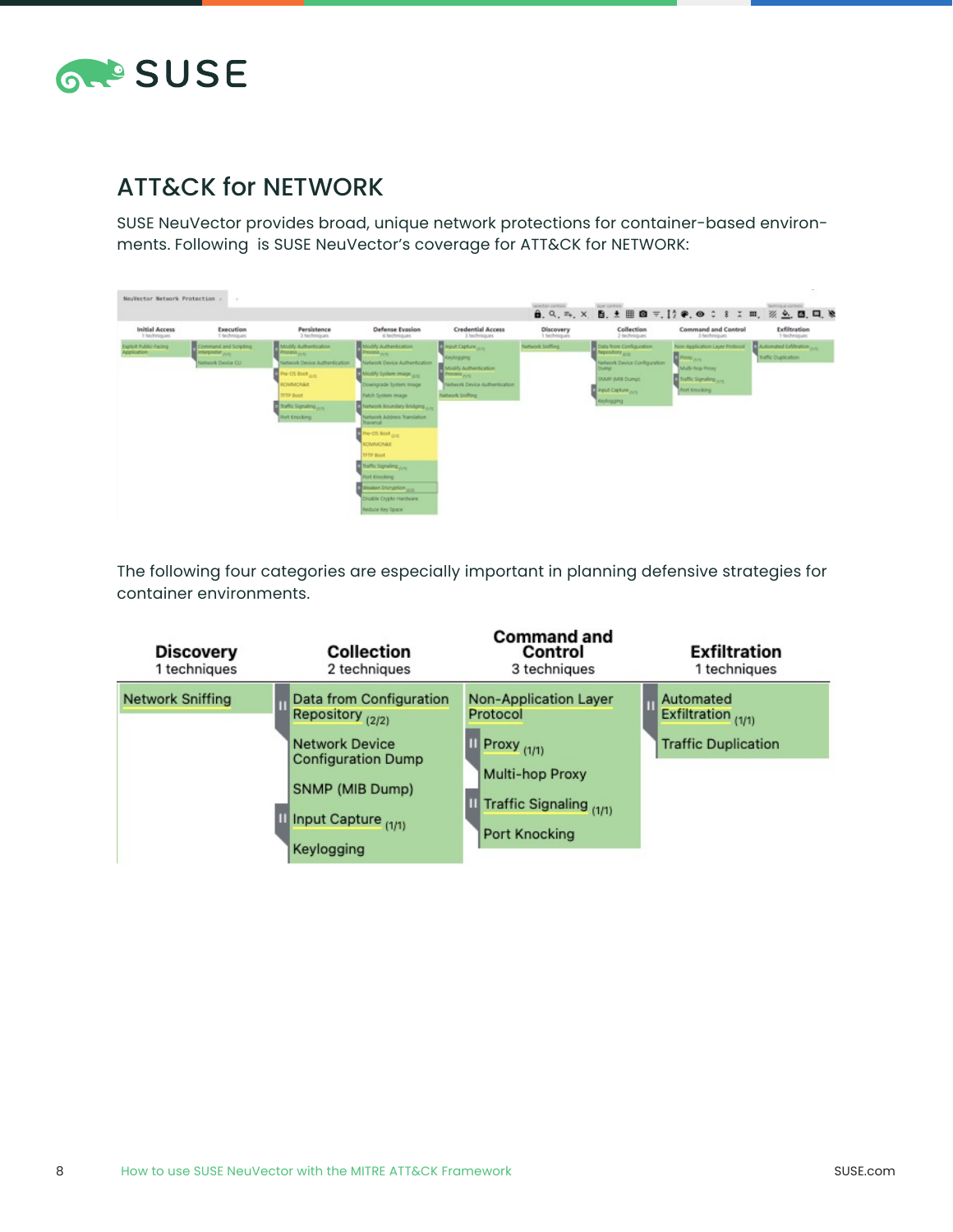

### [ATT&CK for NETWORK](http://neuvector.com.)

[SUSE NeuVector provides broad, unique network protections for container-based environ](http://neuvector.com.)[ments. Following is SUSE NeuVector's coverage for ATT&CK for NETWORK:](http://neuvector.com.)

| NeuVector Network Protection -        | $\sim$                                                             |                                                                                                                                                                                                |                                                                                                                                                                                                                                                                                                                                                                                                                                                |                                                                                                                                                             | Wednesday                 | <b>Dowl Controls</b>                                                                                                                                       |                                                                                                                              | MOVIEW LEADER<br>$A$ , Q, m, X, B, ± H <b>Q</b> =,   $\gamma$ $\phi$ , $\phi$ $\circ$ 8 $\chi$ m, $\chi$ $\underline{\phi}$ , <b>Q</b> , <b>Q</b> , $\Box$ , $\&$ |
|---------------------------------------|--------------------------------------------------------------------|------------------------------------------------------------------------------------------------------------------------------------------------------------------------------------------------|------------------------------------------------------------------------------------------------------------------------------------------------------------------------------------------------------------------------------------------------------------------------------------------------------------------------------------------------------------------------------------------------------------------------------------------------|-------------------------------------------------------------------------------------------------------------------------------------------------------------|---------------------------|------------------------------------------------------------------------------------------------------------------------------------------------------------|------------------------------------------------------------------------------------------------------------------------------|-------------------------------------------------------------------------------------------------------------------------------------------------------------------|
| <b>Initial Access</b><br>1 techniques | Execution<br>I techniques                                          | Persistence<br>3 techniques                                                                                                                                                                    | Defense Evasion<br>6 techniques                                                                                                                                                                                                                                                                                                                                                                                                                | <b>Credential Access</b><br>3 techniques                                                                                                                    | Discovery<br>1 techniques | Collection<br>2 fachniques                                                                                                                                 | <b>Command and Control</b><br>3 techniques                                                                                   | Exfiltration<br>1 techniques                                                                                                                                      |
| ligibit Public-Faring<br>Application  | Command and Scripting<br>in Interpreter purs<br>Network Device CLI | Modify Authentication<br><b>Photoma</b> purs<br>Network Device Authentication<br>Pre-OS Boot <sub>(Littl</sub> )<br>ROMADNAK<br><b>SFTP Boot</b><br>It traffic Signaling puts<br>Port Knocking | <b>A Modify Authentication</b><br><b>Phoceto</b> Ave.<br>Network Device Authentication<br>Modify System Image (ps)<br>Downgrade System Image<br><b>Patch System Image</b><br>I Network Boundary Bridging<br>Network Address Translation.<br><b>Report of</b><br>The OS Boot digital<br>ROMMONRY<br><b>DITP Boot</b><br>Traffic Signaling pro-<br>Port Knocking<br>meaken Encryption p.p.<br><b>Disable Crypto Hardware</b><br>Reduce Key Space | Prest Capture <sub>(U.S.</sub><br>Environma<br><b>Modify Authentication</b><br>Process <sub>outh</sub><br>Network Device Authentication<br>Network Smilling | <b>Network Sniffing</b>   | Data from Configuration<br>Perpository <sub>(610</sub> )<br>Network Device Configuration<br>Dueso:<br>SNAAP (MAB Dump)<br>I vout Capture ave<br>Keylogging | Non-Application Layer Protocol<br><b>Promy am</b><br>Multi-hop Prony<br>Traffic Signaling <sub>ours</sub><br>(Port Knocking) | Automated Edithation (um)<br>Traffic Duplication                                                                                                                  |

[The following four categories are especially important in planning defensive strategies for](http://neuvector.com.)  [container environments.](http://neuvector.com.) 

| <b>Discovery</b><br>1 techniques | Collection<br>2 techniques                                                                                                                         | <b>Command and</b><br>Control<br>3 techniques                                                                                            | <b>Exfiltration</b><br>1 techniques                           |
|----------------------------------|----------------------------------------------------------------------------------------------------------------------------------------------------|------------------------------------------------------------------------------------------------------------------------------------------|---------------------------------------------------------------|
| <b>Network Sniffing</b>          | Data from Configuration<br>Repository (2/2)<br>Network Device<br><b>Configuration Dump</b><br>SNMP (MIB Dump)<br>Input Capture (1/1)<br>Keylogging | <b>Non-Application Layer</b><br>Protocol<br>Proxy <sub>(1/1)</sub><br>Multi-hop Proxy<br>Traffic Signaling (1/1)<br><b>Port Knocking</b> | Automated<br>Exfiltration (1/1)<br><b>Traffic Duplication</b> |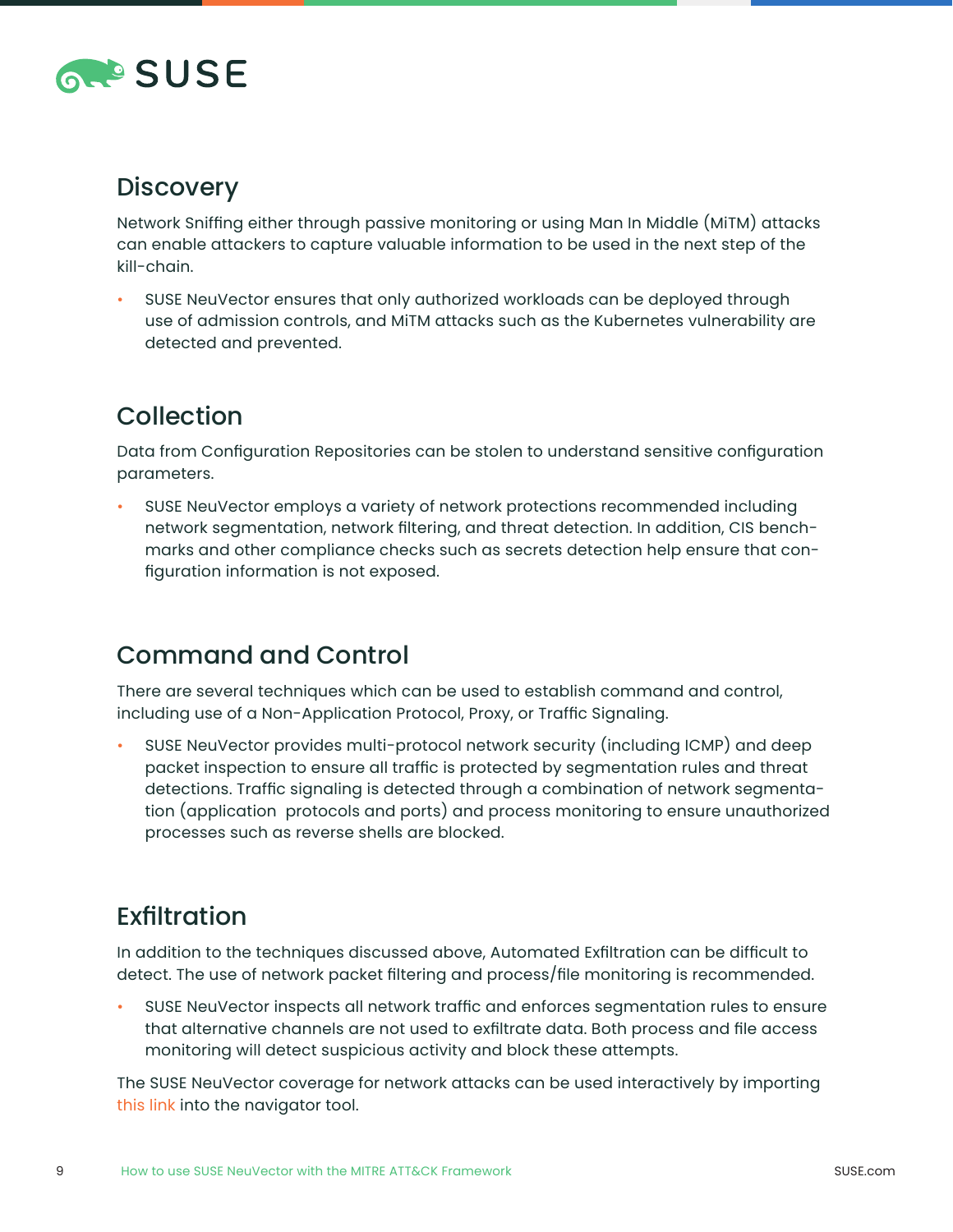

#### **[Discovery](http://neuvector.com.)**

[Network Sniffing either through passive monitoring or using Man In Middle \(MiTM\) attacks](http://neuvector.com.)  [can enable attackers to capture valuable information to be used in the next step of the](http://neuvector.com.)  [kill-chain.](http://neuvector.com.)

• [SUSE NeuVector ensures that only authorized workloads can be deployed through](http://neuvector.com.)  [use of admission controls, and MiTM attacks such as the Kubernetes vulnerability are](http://neuvector.com.)  [detected and prevented.](http://neuvector.com.)

# [Collection](http://neuvector.com.)

[Data from Configuration Repositories can be stolen to understand sensitive configuration](http://neuvector.com.)  [parameters.](http://neuvector.com.)

• [SUSE NeuVector employs a variety of network protections recommended including](http://neuvector.com.)  [network segmentation, network filtering, and threat detection. In addition, CIS bench](http://neuvector.com.)[marks and other compliance checks such as secrets detection help ensure that con](http://neuvector.com.)[figuration information is not exposed.](http://neuvector.com.)

### [Command and Control](http://neuvector.com.)

[There are several techniques which can be used to establish command and control,](http://neuvector.com.)  [including use of a Non-Application Protocol, Proxy, or Traffic Signaling.](http://neuvector.com.)

• [SUSE NeuVector provides multi-protocol network security \(including ICMP\) and deep](http://neuvector.com.)  [packet inspection to ensure all traffic is protected by segmentation rules and threat](http://neuvector.com.)  [detections. Traffic signaling is detected through a combination of network segmenta](http://neuvector.com.)[tion \(application protocols and ports\) and process monitoring to ensure unauthorized](http://neuvector.com.)  [processes such as reverse shells are blocked.](http://neuvector.com.) 

# [Exfiltration](http://neuvector.com.)

[In addition to the techniques discussed above, Automated Exfiltration can be difficult to](http://neuvector.com.)  [detect. The use of network packet filtering and process/file monitoring is recommended.](http://neuvector.com.)

• [SUSE NeuVector inspects all network traffic and enforces segmentation rules to ensure](http://neuvector.com.)  [that alternative channels are not used to exfiltrate data. Both process and file access](http://neuvector.com.)  [monitoring will detect suspicious activity and block these attempts.](http://neuvector.com.)

[The SUSE NeuVector coverage for network attacks can be used interactively by importing](http://neuvector.com.)  [this link into the navigator tool.](http://neuvector.com.)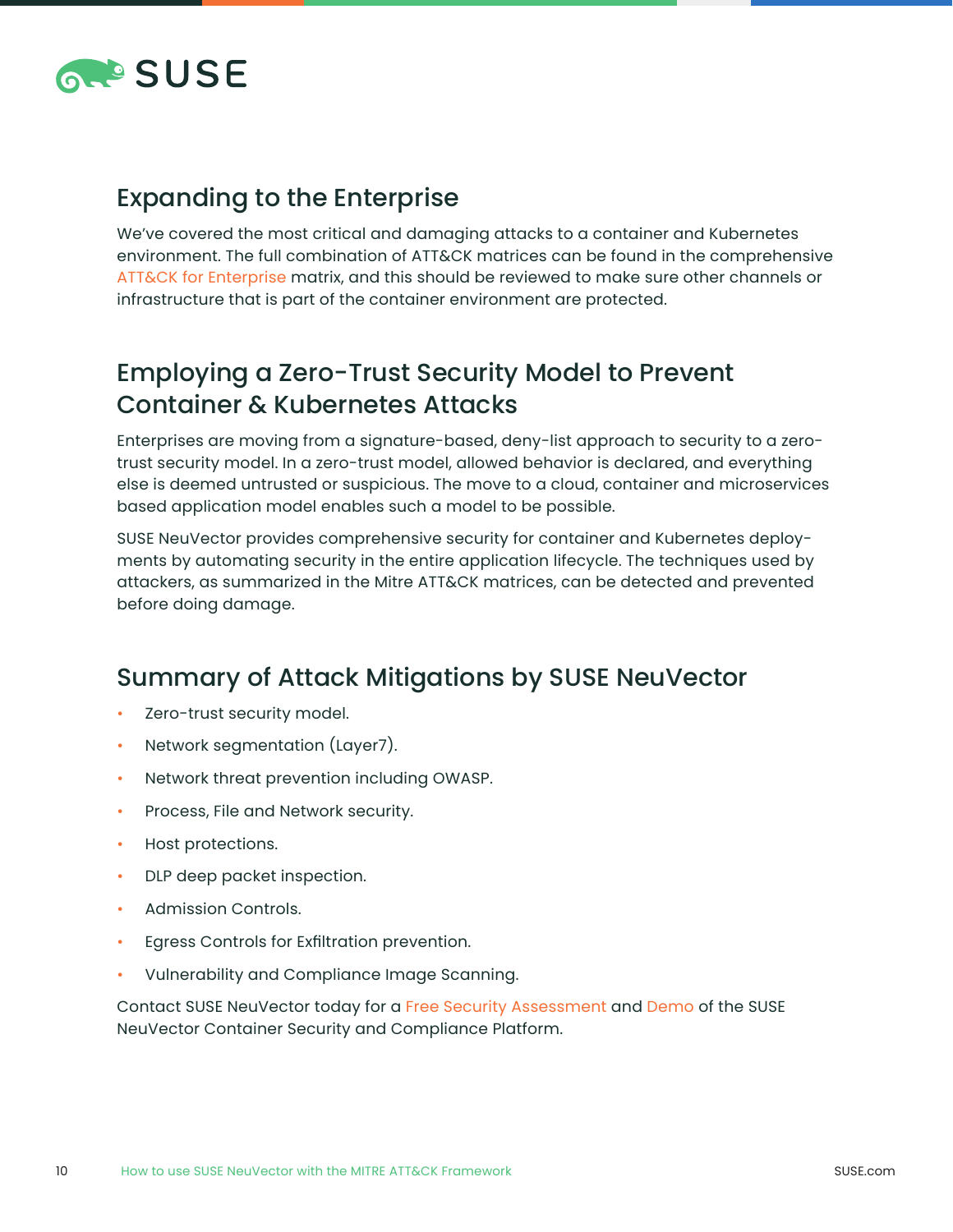

#### [Expanding to the Enterprise](http://neuvector.com.)

[We've covered the most critical and damaging attacks to a container and Kubernetes](http://neuvector.com.)  [environment. The full combination of ATT&CK matrices can be found in the comprehensive](http://neuvector.com.)  ATT&CK for Enterprise matrix, and this should be reviewed to make sure other channels or [infrastructure that is part of the container environment are protected.](http://neuvector.com.)

## [Employing a Zero-Trust Security Model to Prevent](http://neuvector.com.)  [Container & Kubernetes Attacks](http://neuvector.com.)

[Enterprises are moving from a signature-based, deny-list approach to security to a zero](http://neuvector.com.)[trust security model. In a zero-trust model, allowed behavior is declared, and everything](http://neuvector.com.)  [else is deemed untrusted or suspicious. The move to a cloud, container and microservices](http://neuvector.com.)  [based application model enables such a model to be possible.](http://neuvector.com.)

[SUSE NeuVector provides comprehensive security for container and Kubernetes deploy](http://neuvector.com.)[ments by automating security in the entire application lifecycle. The techniques used by](http://neuvector.com.)  [attackers, as summarized in the Mitre ATT&CK matrices, can be detected and prevented](http://neuvector.com.)  [before doing damage.](http://neuvector.com.)

#### [Summary of Attack Mitigations by SUSE NeuVector](http://neuvector.com.)

- [Zero-trust security model.](http://neuvector.com.)
- [Network segmentation \(Layer7\).](http://neuvector.com.)
- [Network threat prevention including OWASP.](http://neuvector.com.)
- [Process, File and Network security.](http://neuvector.com.)
- [Host protections.](http://neuvector.com.)
- [DLP deep packet inspection.](http://neuvector.com.)
- [Admission Controls.](http://neuvector.com.)
- [Egress Controls for Exfiltration prevention.](http://neuvector.com.)
- [Vulnerability and Compliance Image Scanning.](http://neuvector.com.)

[Contact SUSE NeuVector today for a Free Security Assessment](http://neuvector.com.) and Demo of the SUSE [NeuVector Container Security and Compliance Platform.](http://neuvector.com.)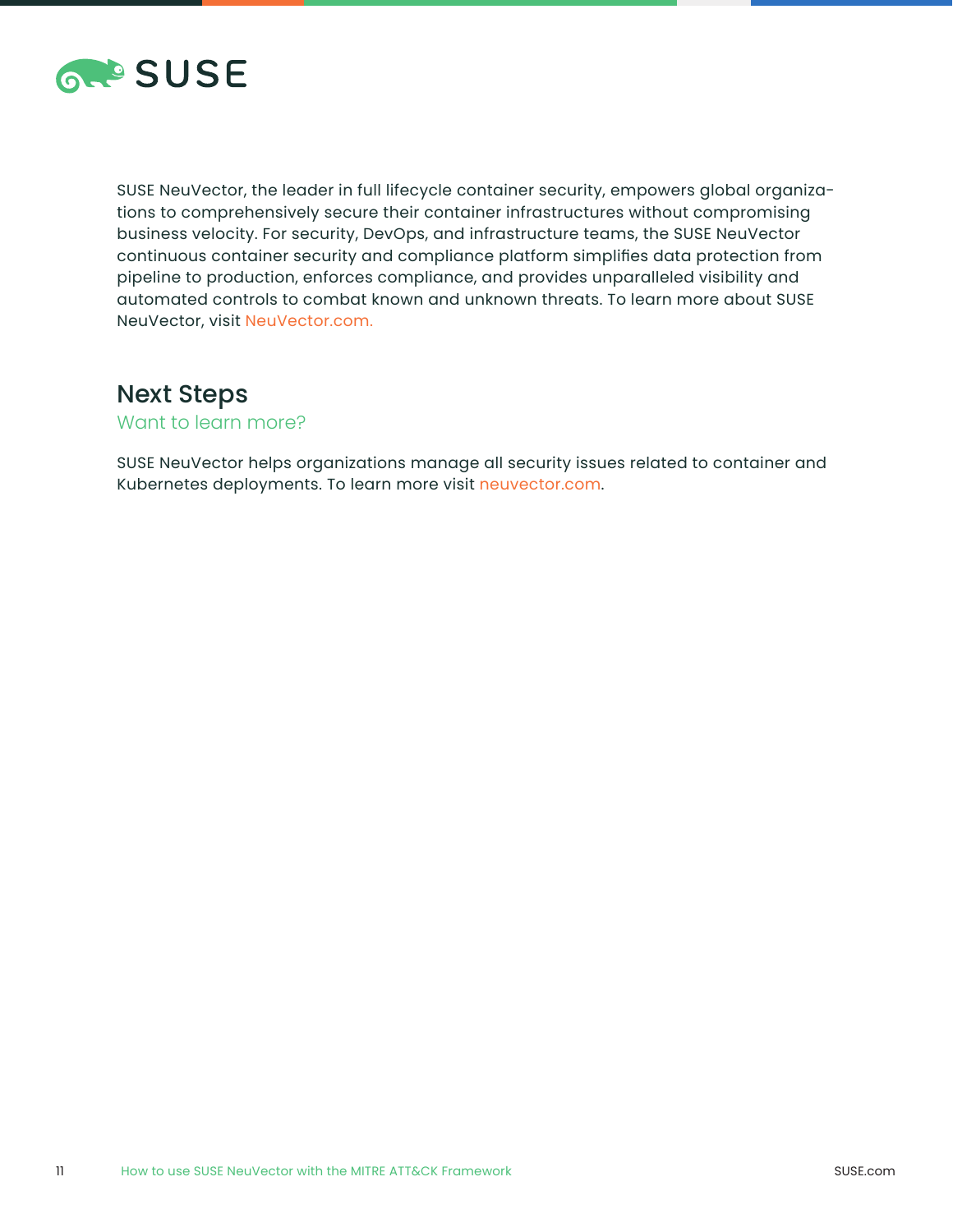

[SUSE NeuVector, the leader in full lifecycle container security, empowers global organiza](http://neuvector.com.)[tions to comprehensively secure their container infrastructures without compromising](http://neuvector.com.)  [business velocity. For security, DevOps, and infrastructure teams, the SUSE NeuVector](http://neuvector.com.)  [continuous container security and compliance platform simplifies data protection from](http://neuvector.com.)  [pipeline to production, enforces compliance, and provides unparalleled visibility and](http://neuvector.com.)  [automated controls to combat known and unknown threats. To learn more about SUSE](http://neuvector.com.)  [NeuVector, visit NeuVector.com.](http://neuvector.com.)

#### [Next Steps](http://neuvector.com.)

[Want to learn more?](http://neuvector.com.)

[SUSE NeuVector helps organizations manage all security issues related to container and](http://neuvector.com.)  [Kubernetes deployments. To learn more visit neuvector.com.](http://neuvector.com.)